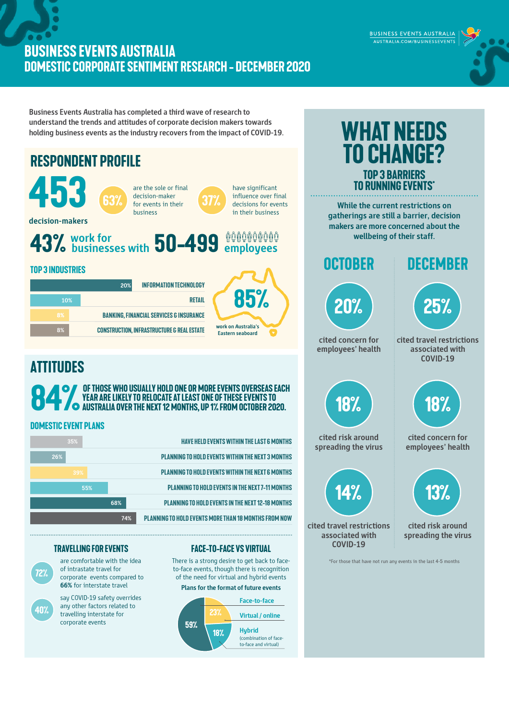## **BUSINESS EVENTS AUSTRALIA DOMESTIC CORPORATE SENTIMENT RESEARCH - december 2020**

**Business Events Australia has completed a third wave of research to understand the trends and attitudes of corporate decision makers towards holding business events as the industry recovers from the impact of COVID-19.** 



any other factors related to travelling interstate for corporate events

**40%**





BUSINESS EVENTS AUSTRALIA AUSTRALIA.COM/BUSINESSEVENTS

**What needs**